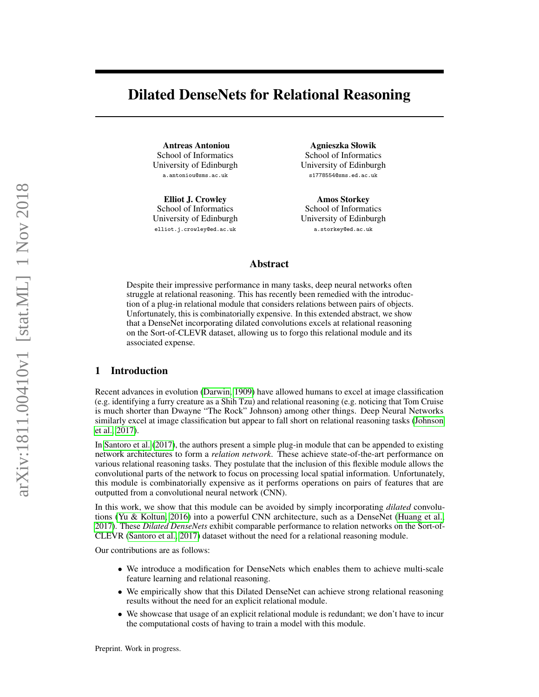# Dilated DenseNets for Relational Reasoning

Antreas Antoniou School of Informatics University of Edinburgh a.antoniou@sms.ac.uk

Elliot J. Crowley School of Informatics University of Edinburgh elliot.j.crowley@ed.ac.uk

Agnieszka Słowik School of Informatics University of Edinburgh s1778554@sms.ed.ac.uk

Amos Storkey School of Informatics University of Edinburgh a.storkey@ed.ac.uk

## Abstract

Despite their impressive performance in many tasks, deep neural networks often struggle at relational reasoning. This has recently been remedied with the introduction of a plug-in relational module that considers relations between pairs of objects. Unfortunately, this is combinatorially expensive. In this extended abstract, we show that a DenseNet incorporating dilated convolutions excels at relational reasoning on the Sort-of-CLEVR dataset, allowing us to forgo this relational module and its associated expense.

#### 1 Introduction

Recent advances in evolution [\(Darwin, 1909\)](#page-3-0) have allowed humans to excel at image classification (e.g. identifying a furry creature as a Shih Tzu) and relational reasoning (e.g. noticing that Tom Cruise is much shorter than Dwayne "The Rock" Johnson) among other things. Deep Neural Networks similarly excel at image classification but appear to fall short on relational reasoning tasks [\(Johnson](#page-3-1) [et al., 2017\)](#page-3-1).

In [Santoro et al.](#page-3-2) [\(2017\)](#page-3-2), the authors present a simple plug-in module that can be appended to existing network architectures to form a *relation network*. These achieve state-of-the-art performance on various relational reasoning tasks. They postulate that the inclusion of this flexible module allows the convolutional parts of the network to focus on processing local spatial information. Unfortunately, this module is combinatorially expensive as it performs operations on pairs of features that are outputted from a convolutional neural network (CNN).

In this work, we show that this module can be avoided by simply incorporating *dilated* convolutions [\(Yu & Koltun, 2016\)](#page-3-3) into a powerful CNN architecture, such as a DenseNet [\(Huang et al.,](#page-3-4) [2017\)](#page-3-4). These *Dilated DenseNets* exhibit comparable performance to relation networks on the Sort-of-CLEVR [\(Santoro et al., 2017\)](#page-3-2) dataset without the need for a relational reasoning module.

Our contributions are as follows:

- We introduce a modification for DenseNets which enables them to achieve multi-scale feature learning and relational reasoning.
- We empirically show that this Dilated DenseNet can achieve strong relational reasoning results without the need for an explicit relational module.
- We showcase that usage of an explicit relational module is redundant; we don't have to incur the computational costs of having to train a model with this module.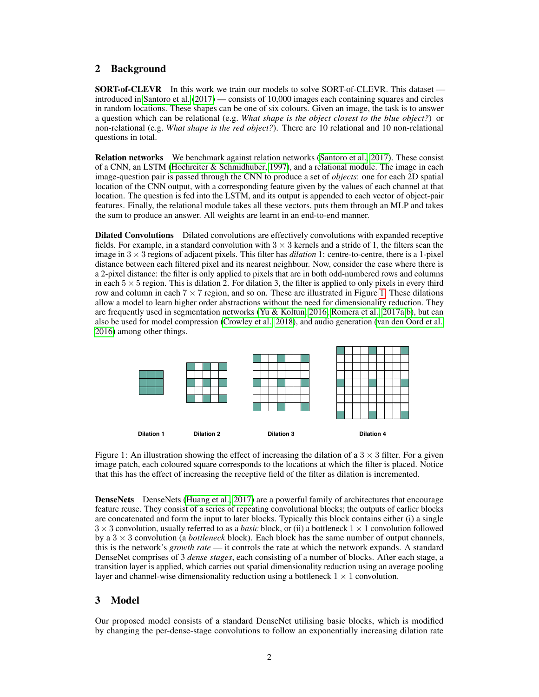## 2 Background

SORT-of-CLEVR In this work we train our models to solve SORT-of-CLEVR. This dataset introduced in [Santoro et al.](#page-3-2) [\(2017\)](#page-3-2) — consists of 10,000 images each containing squares and circles in random locations. These shapes can be one of six colours. Given an image, the task is to answer a question which can be relational (e.g. *What shape is the object closest to the blue object?*) or non-relational (e.g. *What shape is the red object?*). There are 10 relational and 10 non-relational questions in total.

Relation networks We benchmark against relation networks [\(Santoro et al., 2017\)](#page-3-2). These consist of a CNN, an LSTM [\(Hochreiter & Schmidhuber, 1997\)](#page-3-5), and a relational module. The image in each image-question pair is passed through the CNN to produce a set of *objects*: one for each 2D spatial location of the CNN output, with a corresponding feature given by the values of each channel at that location. The question is fed into the LSTM, and its output is appended to each vector of object-pair features. Finally, the relational module takes all these vectors, puts them through an MLP and takes the sum to produce an answer. All weights are learnt in an end-to-end manner.

Dilated Convolutions Dilated convolutions are effectively convolutions with expanded receptive fields. For example, in a standard convolution with  $3 \times 3$  kernels and a stride of 1, the filters scan the image in  $3 \times 3$  regions of adjacent pixels. This filter has *dilation* 1: centre-to-centre, there is a 1-pixel distance between each filtered pixel and its nearest neighbour. Now, consider the case where there is a 2-pixel distance: the filter is only applied to pixels that are in both odd-numbered rows and columns in each  $5 \times 5$  region. This is dilation 2. For dilation 3, the filter is applied to only pixels in every third row and column in each  $7 \times 7$  region, and so on. These are illustrated in Figure [1.](#page-1-0) These dilations allow a model to learn higher order abstractions without the need for dimensionality reduction. They are frequently used in segmentation networks [\(Yu & Koltun, 2016;](#page-3-3) [Romera et al., 2017a](#page-3-6)[,b\)](#page-3-7), but can also be used for model compression [\(Crowley et al., 2018\)](#page-3-8), and audio generation [\(van den Oord et al.,](#page-3-9) [2016\)](#page-3-9) among other things.



<span id="page-1-0"></span>Figure 1: An illustration showing the effect of increasing the dilation of a  $3 \times 3$  filter. For a given image patch, each coloured square corresponds to the locations at which the filter is placed. Notice that this has the effect of increasing the receptive field of the filter as dilation is incremented.

DenseNets DenseNets [\(Huang et al., 2017\)](#page-3-4) are a powerful family of architectures that encourage feature reuse. They consist of a series of repeating convolutional blocks; the outputs of earlier blocks are concatenated and form the input to later blocks. Typically this block contains either (i) a single 3 × 3 convolution, usually referred to as a *basic* block, or (ii) a bottleneck 1 × 1 convolution followed by a 3 × 3 convolution (a *bottleneck* block). Each block has the same number of output channels, this is the network's *growth rate* — it controls the rate at which the network expands. A standard DenseNet comprises of 3 *dense stages*, each consisting of a number of blocks. After each stage, a transition layer is applied, which carries out spatial dimensionality reduction using an average pooling layer and channel-wise dimensionality reduction using a bottleneck  $1 \times 1$  convolution.

## 3 Model

Our proposed model consists of a standard DenseNet utilising basic blocks, which is modified by changing the per-dense-stage convolutions to follow an exponentially increasing dilation rate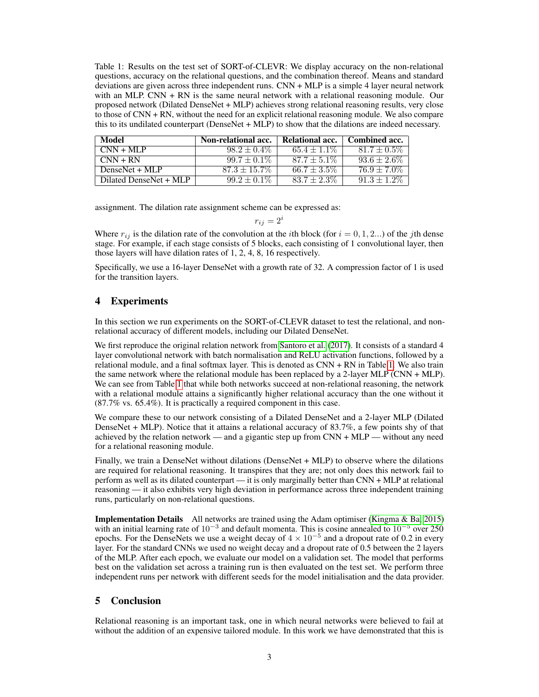<span id="page-2-0"></span>Table 1: Results on the test set of SORT-of-CLEVR: We display accuracy on the non-relational questions, accuracy on the relational questions, and the combination thereof. Means and standard deviations are given across three independent runs. CNN + MLP is a simple 4 layer neural network with an MLP.  $CNN + RN$  is the same neural network with a relational reasoning module. Our proposed network (Dilated DenseNet + MLP) achieves strong relational reasoning results, very close to those of CNN + RN, without the need for an explicit relational reasoning module. We also compare this to its undilated counterpart (DenseNet + MLP) to show that the dilations are indeed necessary.

| Model                  | Non-relational acc. | Relational acc.  | Combined acc.    |
|------------------------|---------------------|------------------|------------------|
| $CNN + MLP$            | $98.2 \pm 0.4\%$    | $65.4 \pm 1.1\%$ | $81.7 \pm 0.5\%$ |
| $CNN + RN$             | $99.7 \pm 0.1\%$    | $87.7 \pm 5.1\%$ | $93.6 \pm 2.6\%$ |
| DenseNet + MLP         | $87.3 \pm 15.7\%$   | $66.7 \pm 3.5\%$ | $76.9 \pm 7.0\%$ |
| Dilated DenseNet + MLP | $99.2 \pm 0.1\%$    | $83.7 \pm 2.3\%$ | $91.3 \pm 1.2\%$ |

assignment. The dilation rate assignment scheme can be expressed as:

$$
r_{ij} = 2^i
$$

Where  $r_{ij}$  is the dilation rate of the convolution at the *i*th block (for  $i = 0, 1, 2...$ ) of the *j*th dense stage. For example, if each stage consists of 5 blocks, each consisting of 1 convolutional layer, then those layers will have dilation rates of 1, 2, 4, 8, 16 respectively.

Specifically, we use a 16-layer DenseNet with a growth rate of 32. A compression factor of 1 is used for the transition layers.

## 4 Experiments

In this section we run experiments on the SORT-of-CLEVR dataset to test the relational, and nonrelational accuracy of different models, including our Dilated DenseNet.

We first reproduce the original relation network from [Santoro et al.](#page-3-2) [\(2017\)](#page-3-2). It consists of a standard 4 layer convolutional network with batch normalisation and ReLU activation functions, followed by a relational module, and a final softmax layer. This is denoted as CNN + RN in Table [1.](#page-2-0) We also train the same network where the relational module has been replaced by a 2-layer MLP (CNN + MLP). We can see from Table [1](#page-2-0) that while both networks succeed at non-relational reasoning, the network with a relational module attains a significantly higher relational accuracy than the one without it (87.7% vs. 65.4%). It is practically a required component in this case.

We compare these to our network consisting of a Dilated DenseNet and a 2-layer MLP (Dilated DenseNet + MLP). Notice that it attains a relational accuracy of 83.7%, a few points shy of that achieved by the relation network — and a gigantic step up from  $CNN + MLP$  — without any need for a relational reasoning module.

Finally, we train a DenseNet without dilations (DenseNet + MLP) to observe where the dilations are required for relational reasoning. It transpires that they are; not only does this network fail to perform as well as its dilated counterpart — it is only marginally better than CNN + MLP at relational reasoning — it also exhibits very high deviation in performance across three independent training runs, particularly on non-relational questions.

Implementation Details All networks are trained using the Adam optimiser [\(Kingma & Ba, 2015\)](#page-3-10) with an initial learning rate of 10<sup>-3</sup> and default momenta. This is cosine annealed to 10<sup>-5</sup> over 250 epochs. For the DenseNets we use a weight decay of  $4 \times 10^{-5}$  and a dropout rate of 0.2 in every layer. For the standard CNNs we used no weight decay and a dropout rate of 0.5 between the 2 layers of the MLP. After each epoch, we evaluate our model on a validation set. The model that performs best on the validation set across a training run is then evaluated on the test set. We perform three independent runs per network with different seeds for the model initialisation and the data provider.

## 5 Conclusion

Relational reasoning is an important task, one in which neural networks were believed to fail at without the addition of an expensive tailored module. In this work we have demonstrated that this is